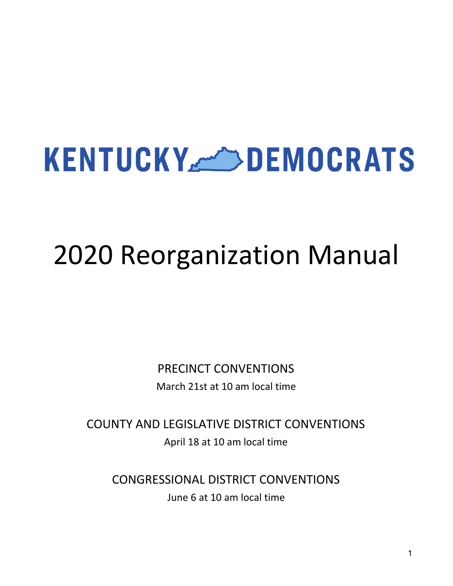# **KENTUCKY BEMOCRATS**

# 2020 Reorganization Manual

PRECINCT CONVENTIONS March 21st at 10 am local time

COUNTY AND LEGISLATIVE DISTRICT CONVENTIONS April 18 at 10 am local time

CONGRESSIONAL DISTRICT CONVENTIONS June 6 at 10 am local time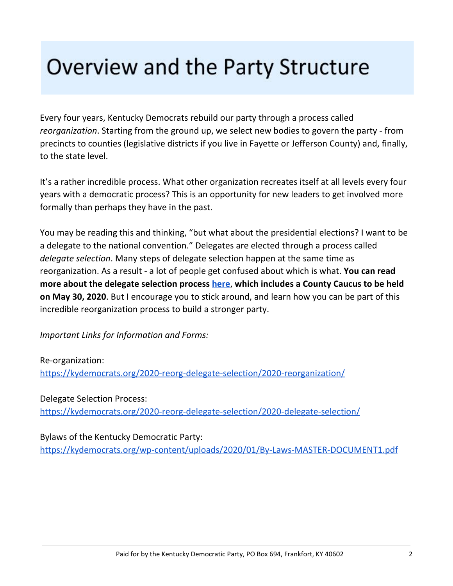## Overview and the Party Structure

Every four years, Kentucky Democrats rebuild our party through a process called *reorganization*. Starting from the ground up, we select new bodies to govern the party - from precincts to counties (legislative districts if you live in Fayette or Jefferson County) and, finally, to the state level.

It's a rather incredible process. What other organization recreates itself at all levels every four years with a democratic process? This is an opportunity for new leaders to get involved more formally than perhaps they have in the past.

You may be reading this and thinking, "but what about the presidential elections? I want to be a delegate to the national convention." Delegates are elected through a process called *delegate selection*. Many steps of delegate selection happen at the same time as reorganization. As a result - a lot of people get confused about which is what. **You can read more about the delegate selection process [here](https://kydemocrats.org/2020-reorg-delegate-selection/2020-delegate-selection/)**, **which includes a County Caucus to be held on May 30, 2020**. But I encourage you to stick around, and learn how you can be part of this incredible reorganization process to build a stronger party.

*Important Links for Information and Forms:*

Re-organization:

<https://kydemocrats.org/2020-reorg-delegate-selection/2020-reorganization/>

Delegate Selection Process: <https://kydemocrats.org/2020-reorg-delegate-selection/2020-delegate-selection/>

Bylaws of the Kentucky Democratic Party:

<https://kydemocrats.org/wp-content/uploads/2020/01/By-Laws-MASTER-DOCUMENT1.pdf>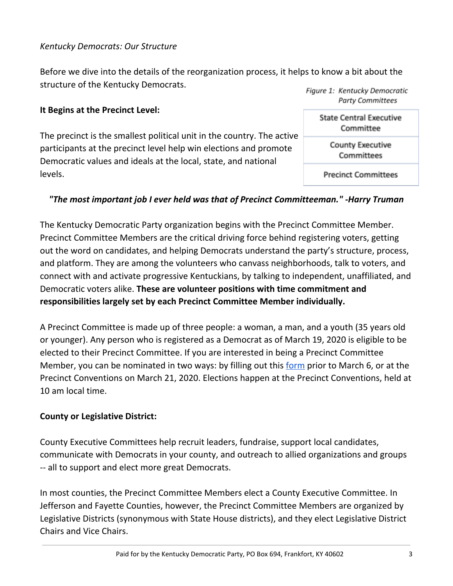#### *Kentucky Democrats: Our Structure*

Before we dive into the details of the reorganization process, it helps to know a bit about the structure of the Kentucky Democrats. Figure 1: Kentucky Democratic

#### **It Begins at the Precinct Level:**

The precinct is the smallest political unit in the country. The active participants at the precinct level help win elections and promote Democratic values and ideals at the local, state, and national levels.

#### *"The most important job I ever held was that of Precinct Committeeman." -Harry Truman*

The Kentucky Democratic Party organization begins with the Precinct Committee Member. Precinct Committee Members are the critical driving force behind registering voters, getting out the word on candidates, and helping Democrats understand the party's structure, process, and platform. They are among the volunteers who canvass neighborhoods, talk to voters, and connect with and activate progressive Kentuckians, by talking to independent, unaffiliated, and Democratic voters alike. **These are volunteer positions with time commitment and responsibilities largely set by each Precinct Committee Member individually.**

A Precinct Committee is made up of three people: a woman, a man, and a youth (35 years old or younger). Any person who is registered as a Democrat as of March 19, 2020 is eligible to be elected to their Precinct Committee. If you are interested in being a Precinct Committee Member, you can be nominated in two ways: by filling out this [form](https://kydemocrats.org/2020-reorg-delegate-selection/precinct-member/) prior to March 6, or at the Precinct Conventions on March 21, 2020. Elections happen at the Precinct Conventions, held at 10 am local time.

#### **County or Legislative District:**

County Executive Committees help recruit leaders, fundraise, support local candidates, communicate with Democrats in your county, and outreach to allied organizations and groups -- all to support and elect more great Democrats.

In most counties, the Precinct Committee Members elect a County Executive Committee. In Jefferson and Fayette Counties, however, the Precinct Committee Members are organized by Legislative Districts (synonymous with State House districts), and they elect Legislative District Chairs and Vice Chairs.

**Party Committees State Central Executive** Committee **County Executive** Committees

**Precinct Committees**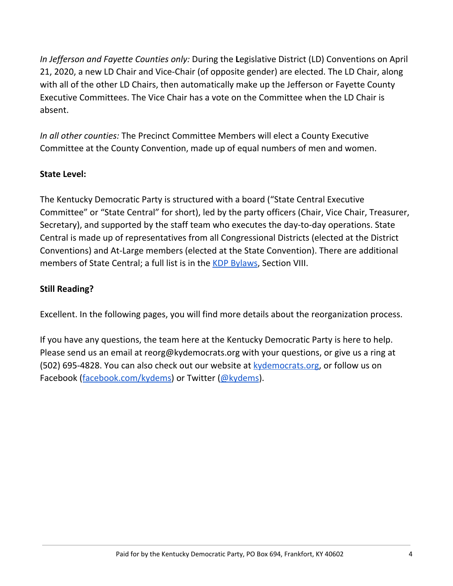*In Jefferson and Fayette Counties only:* During the **L**egislative District (LD) Conventions on April 21, 2020, a new LD Chair and Vice-Chair (of opposite gender) are elected. The LD Chair, along with all of the other LD Chairs, then automatically make up the Jefferson or Fayette County Executive Committees. The Vice Chair has a vote on the Committee when the LD Chair is absent.

*In all other counties:* The Precinct Committee Members will elect a County Executive Committee at the County Convention, made up of equal numbers of men and women.

#### **State Level:**

The Kentucky Democratic Party is structured with a board ("State Central Executive Committee" or "State Central" for short), led by the party officers (Chair, Vice Chair, Treasurer, Secretary), and supported by the staff team who executes the day-to-day operations. State Central is made up of representatives from all Congressional Districts (elected at the District Conventions) and At-Large members (elected at the State Convention). There are additional members of State Central; a full list is in the **KDP [Bylaws](https://kydemocrats.org/wp-content/uploads/2020/01/By-Laws-MASTER-DOCUMENT1.pdf)**, Section VIII.

#### **Still Reading?**

Excellent. In the following pages, you will find more details about the reorganization process.

If you have any questions, the team here at the Kentucky Democratic Party is here to help. Please send us an email at reorg@kydemocrats.org with your questions, or give us a ring at (502) 695-4828. You can also check out our website at **[kydemocrats.org](https://kydemocrats.org/)**, or follow us on Facebook ([facebook.com/kydems\)](https://www.facebook.com/KyDems/) or Twitter [\(@kydems](https://twitter.com/kydems)).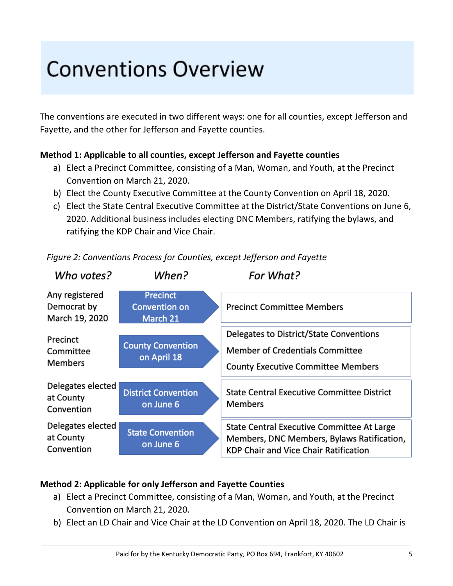# **Conventions Overview**

The conventions are executed in two different ways: one for all counties, except Jefferson and Fayette, and the other for Jefferson and Fayette counties.

#### **Method 1: Applicable to all counties, except Jefferson and Fayette counties**

- a) Elect a Precinct Committee, consisting of a Man, Woman, and Youth, at the Precinct Convention on March 21, 2020.
- b) Elect the County Executive Committee at the County Convention on April 18, 2020.
- c) Elect the State Central Executive Committee at the District/State Conventions on June 6, 2020. Additional business includes electing DNC Members, ratifying the bylaws, and ratifying the KDP Chair and Vice Chair.

| Who votes?                                      | When?                                               | For What?                                                                                                                         |
|-------------------------------------------------|-----------------------------------------------------|-----------------------------------------------------------------------------------------------------------------------------------|
| Any registered<br>Democrat by<br>March 19, 2020 | <b>Precinct</b><br><b>Convention on</b><br>March 21 | <b>Precinct Committee Members</b>                                                                                                 |
| Precinct<br>Committee<br><b>Members</b>         | <b>County Convention</b><br>on April 18             | Delegates to District/State Conventions<br><b>Member of Credentials Committee</b><br><b>County Executive Committee Members</b>    |
| Delegates elected<br>at County<br>Convention    | <b>District Convention</b><br>on June 6             | <b>State Central Executive Committee District</b><br><b>Members</b>                                                               |
| Delegates elected<br>at County<br>Convention    | <b>State Convention</b><br>on June 6                | State Central Executive Committee At Large<br>Members, DNC Members, Bylaws Ratification,<br>KDP Chair and Vice Chair Ratification |

*Figure 2: Conventions Process for Counties, except Jefferson and Fayette*

#### **Method 2: Applicable for only Jefferson and Fayette Counties**

- a) Elect a Precinct Committee, consisting of a Man, Woman, and Youth, at the Precinct Convention on March 21, 2020.
- b) Elect an LD Chair and Vice Chair at the LD Convention on April 18, 2020. The LD Chair is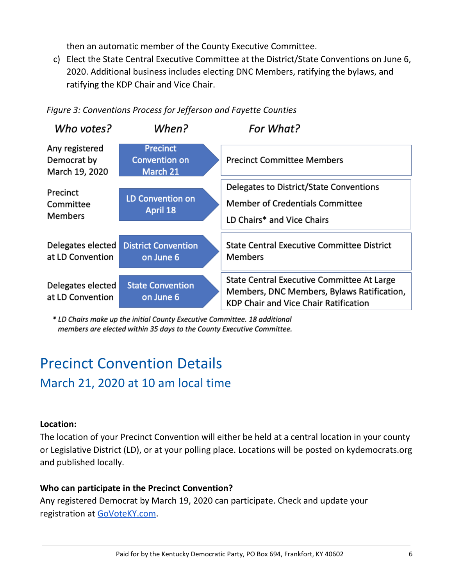then an automatic member of the County Executive Committee.

c) Elect the State Central Executive Committee at the District/State Conventions on June 6, 2020. Additional business includes electing DNC Members, ratifying the bylaws, and ratifying the KDP Chair and Vice Chair.



#### *Figure 3: Conventions Process for Jefferson and Fayette Counties*

\* LD Chairs make up the initial County Executive Committee. 18 additional members are elected within 35 days to the County Executive Committee.

### Precinct Convention Details March 21, 2020 at 10 am local time

#### **Location:**

The location of your Precinct Convention will either be held at a central location in your county or Legislative District (LD), or at your polling place. Locations will be posted on kydemocrats.org and published locally.

#### **Who can participate in the Precinct Convention?**

Any registered Democrat by March 19, 2020 can participate. Check and update your registration at [GoVoteKY.com.](https://vrsws.sos.ky.gov/ovrweb/govoteky)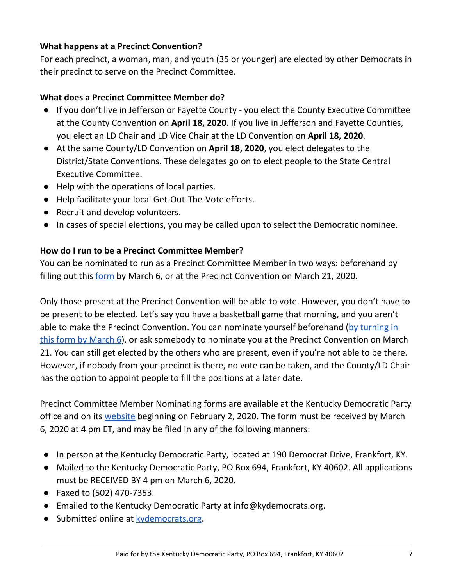#### **What happens at a Precinct Convention?**

For each precinct, a woman, man, and youth (35 or younger) are elected by other Democrats in their precinct to serve on the Precinct Committee.

#### **What does a Precinct Committee Member do?**

- If you don't live in Jefferson or Fayette County you elect the County Executive Committee at the County Convention on **April 18, 2020**. If you live in Jefferson and Fayette Counties, you elect an LD Chair and LD Vice Chair at the LD Convention on **April 18, 2020**.
- At the same County/LD Convention on **April 18, 2020**, you elect delegates to the District/State Conventions. These delegates go on to elect people to the State Central Executive Committee.
- Help with the operations of local parties.
- Help facilitate your local Get-Out-The-Vote efforts.
- Recruit and develop volunteers.
- In cases of special elections, you may be called upon to select the Democratic nominee.

#### **How do I run to be a Precinct Committee Member?**

You can be nominated to run as a Precinct Committee Member in two ways: beforehand by filling out this [form](https://kydemocrats.org/2020-reorg-delegate-selection/precinct-member/) by March 6, or at the Precinct Convention on March 21, 2020.

Only those present at the Precinct Convention will be able to vote. However, you don't have to be present to be elected. Let's say you have a basketball game that morning, and you aren't able to make the Precinct Convention. You can nominate yourself beforehand (by [turning](https://kydemocrats.org/2020-reorg-delegate-selection/precinct-member/) in this form by [March](https://kydemocrats.org/2020-reorg-delegate-selection/precinct-member/) 6), or ask somebody to nominate you at the Precinct Convention on March 21. You can still get elected by the others who are present, even if you're not able to be there. However, if nobody from your precinct is there, no vote can be taken, and the County/LD Chair has the option to appoint people to fill the positions at a later date.

Precinct Committee Member Nominating forms are available at the Kentucky Democratic Party office and on its [website](https://kydemocrats.org/2020-reorg-delegate-selection/precinct-member/) beginning on February 2, 2020. The form must be received by March 6, 2020 at 4 pm ET, and may be filed in any of the following manners:

- In person at the Kentucky Democratic Party, located at 190 Democrat Drive, Frankfort, KY.
- Mailed to the Kentucky Democratic Party, PO Box 694, Frankfort, KY 40602. All applications must be RECEIVED BY 4 pm on March 6, 2020.
- Faxed to (502) 470-7353.
- Emailed to the Kentucky Democratic Party at info@kydemocrats.org.
- Submitted online at [kydemocrats.org](https://kydemocrats.org/).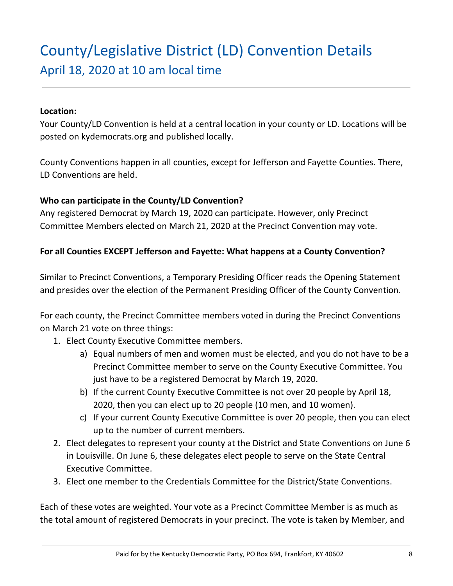### County/Legislative District (LD) Convention Details April 18, 2020 at 10 am local time

#### **Location:**

Your County/LD Convention is held at a central location in your county or LD. Locations will be posted on kydemocrats.org and published locally.

County Conventions happen in all counties, except for Jefferson and Fayette Counties. There, LD Conventions are held.

#### **Who can participate in the County/LD Convention?**

Any registered Democrat by March 19, 2020 can participate. However, only Precinct Committee Members elected on March 21, 2020 at the Precinct Convention may vote.

#### **For all Counties EXCEPT Jefferson and Fayette: What happens at a County Convention?**

Similar to Precinct Conventions, a Temporary Presiding Officer reads the Opening Statement and presides over the election of the Permanent Presiding Officer of the County Convention.

For each county, the Precinct Committee members voted in during the Precinct Conventions on March 21 vote on three things:

- 1. Elect County Executive Committee members.
	- a) Equal numbers of men and women must be elected, and you do not have to be a Precinct Committee member to serve on the County Executive Committee. You just have to be a registered Democrat by March 19, 2020.
	- b) If the current County Executive Committee is not over 20 people by April 18, 2020, then you can elect up to 20 people (10 men, and 10 women).
	- c) If your current County Executive Committee is over 20 people, then you can elect up to the number of current members.
- 2. Elect delegates to represent your county at the District and State Conventions on June 6 in Louisville. On June 6, these delegates elect people to serve on the State Central Executive Committee.
- 3. Elect one member to the Credentials Committee for the District/State Conventions.

Each of these votes are weighted. Your vote as a Precinct Committee Member is as much as the total amount of registered Democrats in your precinct. The vote is taken by Member, and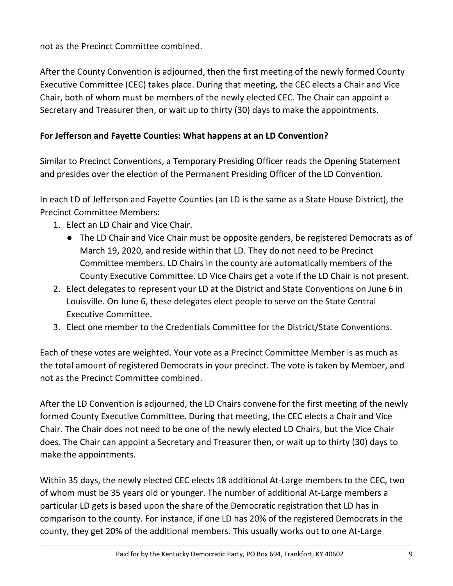not as the Precinct Committee combined.

After the County Convention is adjourned, then the first meeting of the newly formed County Executive Committee (CEC) takes place. During that meeting, the CEC elects a Chair and Vice Chair, both of whom must be members of the newly elected CEC. The Chair can appoint a Secretary and Treasurer then, or wait up to thirty (30) days to make the appointments.

#### **For Jefferson and Fayette Counties: What happens at an LD Convention?**

Similar to Precinct Conventions, a Temporary Presiding Officer reads the Opening Statement and presides over the election of the Permanent Presiding Officer of the LD Convention.

In each LD of Jefferson and Fayette Counties (an LD is the same as a State House District), the Precinct Committee Members:

- 1. Elect an LD Chair and Vice Chair.
	- The LD Chair and Vice Chair must be opposite genders, be registered Democrats as of March 19, 2020, and reside within that LD. They do not need to be Precinct Committee members. LD Chairs in the county are automatically members of the County Executive Committee. LD Vice Chairs get a vote if the LD Chair is not present.
- 2. Elect delegates to represent your LD at the District and State Conventions on June 6 in Louisville. On June 6, these delegates elect people to serve on the State Central Executive Committee.
- 3. Elect one member to the Credentials Committee for the District/State Conventions.

Each of these votes are weighted. Your vote as a Precinct Committee Member is as much as the total amount of registered Democrats in your precinct. The vote is taken by Member, and not as the Precinct Committee combined.

After the LD Convention is adjourned, the LD Chairs convene for the first meeting of the newly formed County Executive Committee. During that meeting, the CEC elects a Chair and Vice Chair. The Chair does not need to be one of the newly elected LD Chairs, but the Vice Chair does. The Chair can appoint a Secretary and Treasurer then, or wait up to thirty (30) days to make the appointments.

Within 35 days, the newly elected CEC elects 18 additional At-Large members to the CEC, two of whom must be 35 years old or younger. The number of additional At-Large members a particular LD gets is based upon the share of the Democratic registration that LD has in comparison to the county. For instance, if one LD has 20% of the registered Democrats in the county, they get 20% of the additional members. This usually works out to one At-Large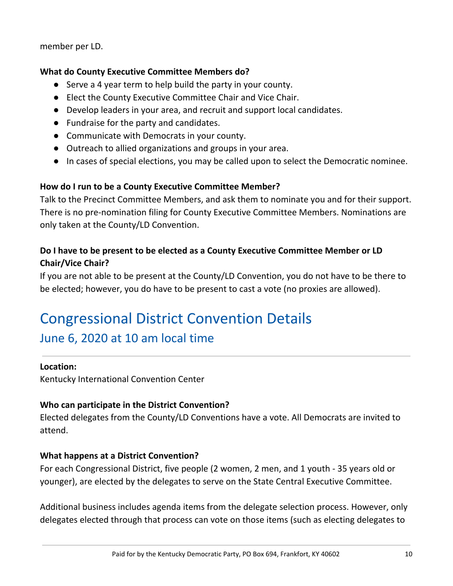member per LD.

#### **What do County Executive Committee Members do?**

- Serve a 4 year term to help build the party in your county.
- Elect the County Executive Committee Chair and Vice Chair.
- Develop leaders in your area, and recruit and support local candidates.
- Fundraise for the party and candidates.
- Communicate with Democrats in your county.
- Outreach to allied organizations and groups in your area.
- In cases of special elections, you may be called upon to select the Democratic nominee.

#### **How do I run to be a County Executive Committee Member?**

Talk to the Precinct Committee Members, and ask them to nominate you and for their support. There is no pre-nomination filing for County Executive Committee Members. Nominations are only taken at the County/LD Convention.

#### **Do I have to be present to be elected as a County Executive Committee Member or LD Chair/Vice Chair?**

If you are not able to be present at the County/LD Convention, you do not have to be there to be elected; however, you do have to be present to cast a vote (no proxies are allowed).

### Congressional District Convention Details

### June 6, 2020 at 10 am local time

#### **Location:**

Kentucky International Convention Center

#### **Who can participate in the District Convention?**

Elected delegates from the County/LD Conventions have a vote. All Democrats are invited to attend.

#### **What happens at a District Convention?**

For each Congressional District, five people (2 women, 2 men, and 1 youth - 35 years old or younger), are elected by the delegates to serve on the State Central Executive Committee.

Additional business includes agenda items from the delegate selection process. However, only delegates elected through that process can vote on those items (such as electing delegates to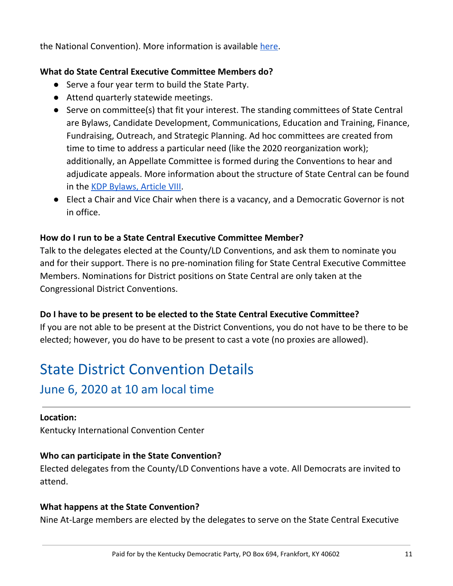the National Convention). More information is available [here.](https://kydemocrats.org/2020-reorg-delegate-selection/2020-delegate-selection/)

#### **What do State Central Executive Committee Members do?**

- Serve a four year term to build the State Party.
- Attend quarterly statewide meetings.
- Serve on committee(s) that fit your interest. The standing committees of State Central are Bylaws, Candidate Development, Communications, Education and Training, Finance, Fundraising, Outreach, and Strategic Planning. Ad hoc committees are created from time to time to address a particular need (like the 2020 reorganization work); additionally, an Appellate Committee is formed during the Conventions to hear and adjudicate appeals. More information about the structure of State Central can be found in the KDP [Bylaws,](https://kydemocrats.org/wp-content/uploads/2020/01/By-Laws-MASTER-DOCUMENT1.pdf) Article VIII.
- Elect a Chair and Vice Chair when there is a vacancy, and a Democratic Governor is not in office.

#### **How do I run to be a State Central Executive Committee Member?**

Talk to the delegates elected at the County/LD Conventions, and ask them to nominate you and for their support. There is no pre-nomination filing for State Central Executive Committee Members. Nominations for District positions on State Central are only taken at the Congressional District Conventions.

#### **Do I have to be present to be elected to the State Central Executive Committee?**

If you are not able to be present at the District Conventions, you do not have to be there to be elected; however, you do have to be present to cast a vote (no proxies are allowed).

## State District Convention Details

#### June 6, 2020 at 10 am local time

#### **Location:**

Kentucky International Convention Center

#### **Who can participate in the State Convention?**

Elected delegates from the County/LD Conventions have a vote. All Democrats are invited to attend.

#### **What happens at the State Convention?**

Nine At-Large members are elected by the delegates to serve on the State Central Executive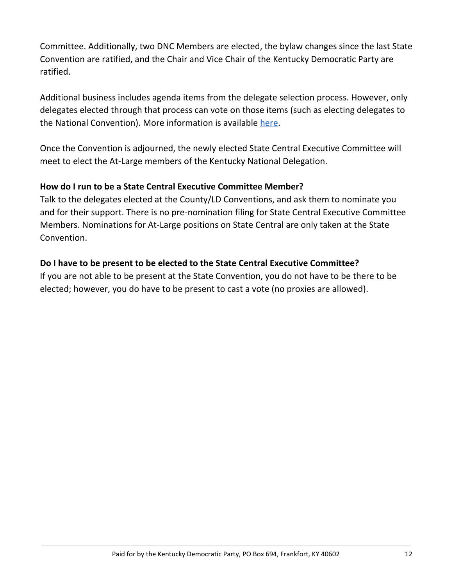Committee. Additionally, two DNC Members are elected, the bylaw changes since the last State Convention are ratified, and the Chair and Vice Chair of the Kentucky Democratic Party are ratified.

Additional business includes agenda items from the delegate selection process. However, only delegates elected through that process can vote on those items (such as electing delegates to the National Convention). More information is available [here.](https://kydemocrats.org/2020-reorg-delegate-selection/2020-delegate-selection/)

Once the Convention is adjourned, the newly elected State Central Executive Committee will meet to elect the At-Large members of the Kentucky National Delegation.

#### **How do I run to be a State Central Executive Committee Member?**

Talk to the delegates elected at the County/LD Conventions, and ask them to nominate you and for their support. There is no pre-nomination filing for State Central Executive Committee Members. Nominations for At-Large positions on State Central are only taken at the State Convention.

#### **Do I have to be present to be elected to the State Central Executive Committee?**

If you are not able to be present at the State Convention, you do not have to be there to be elected; however, you do have to be present to cast a vote (no proxies are allowed).